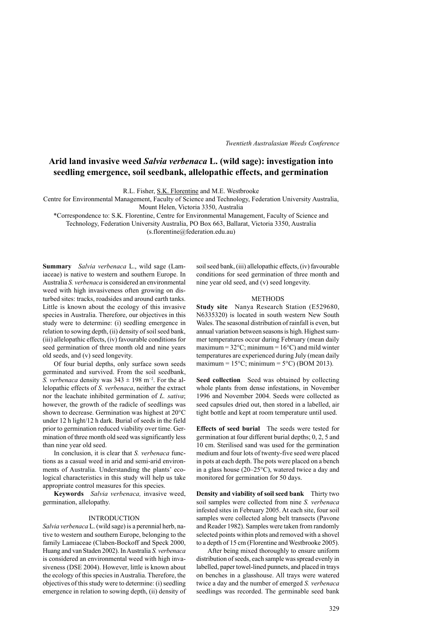# **Arid land invasive weed** *Salvia verbenaca* **L. (wild sage): investigation into seedling emergence, soil seedbank, allelopathic effects, and germination**

R.L. Fisher, S.K. Florentine and M.E. Westbrooke

Centre for Environmental Management, Faculty of Science and Technology, Federation University Australia, Mount Helen, Victoria 3350, Australia

\*Correspondence to: S.K. Florentine, Centre for Environmental Management, Faculty of Science and

Technology, Federation University Australia, PO Box 663, Ballarat, Victoria 3350, Australia

(s.florentine@federation.edu.au)

**Summary** *Salvia verbenaca* L., wild sage (Lamiaceae) is native to western and southern Europe. In Australia *S. verbenaca* is considered an environmental weed with high invasiveness often growing on disturbed sites: tracks, roadsides and around earth tanks. Little is known about the ecology of this invasive species in Australia. Therefore, our objectives in this study were to determine: (i) seedling emergence in relation to sowing depth, (ii) density of soil seed bank, (iii) allelopathic effects, (iv) favourable conditions for seed germination of three month old and nine years old seeds, and (v) seed longevity.

Of four burial depths, only surface sown seeds germinated and survived. From the soil seedbank, *S. verbenaca* density was  $343 \pm 198$  m<sup>-2</sup>. For the allelopathic effects of *S. verbenaca*, neither the extract nor the leachate inhibited germination of *L. sativa*; however, the growth of the radicle of seedlings was shown to decrease. Germination was highest at 20°C under 12 h light/12 h dark. Burial of seeds in the field prior to germination reduced viability over time. Germination of three month old seed was significantly less than nine year old seed.

In conclusion, it is clear that *S. verbenaca* functions as a casual weed in arid and semi-arid environments of Australia. Understanding the plants' ecological characteristics in this study will help us take appropriate control measures for this species.

**Keywords** *Salvia verbenaca,* invasive weed, germination, allelopathy.

## INTRODUCTION

*Salvia verbenaca* L. (wild sage) is a perennial herb, native to western and southern Europe, belonging to the family Lamiaceae (Claben-Bockoff and Speck 2000, Huang and van Staden 2002). In Australia *S. verbenaca* is considered an environmental weed with high invasiveness (DSE 2004). However, little is known about the ecology of this species in Australia. Therefore, the objectives of this study were to determine: (i) seedling emergence in relation to sowing depth, (ii) density of soil seed bank, (iii) allelopathic effects, (iv) favourable conditions for seed germination of three month and nine year old seed, and (v) seed longevity.

#### **METHODS**

**Study site** Nanya Research Station (E529680, N6335320) is located in south western New South Wales. The seasonal distribution of rainfall is even, but annual variation between seasons is high. Highest summer temperatures occur during February (mean daily maximum =  $32^{\circ}$ C; minimum =  $16^{\circ}$ C) and mild winter temperatures are experienced during July (mean daily maximum =  $15^{\circ}$ C; minimum =  $5^{\circ}$ C) (BOM 2013).

**Seed collection**  Seed was obtained by collecting whole plants from dense infestations, in November 1996 and November 2004. Seeds were collected as seed capsules dried out, then stored in a labelled, air tight bottle and kept at room temperature until used.

**Effects of seed burial**  The seeds were tested for germination at four different burial depths; 0, 2, 5 and 10 cm. Sterilised sand was used for the germination medium and four lots of twenty-five seed were placed in pots at each depth. The pots were placed on a bench in a glass house (20–25°C), watered twice a day and monitored for germination for 50 days.

**Density and viability of soil seed bank**  Thirty two soil samples were collected from nine *S. verbenaca* infested sites in February 2005. At each site, four soil samples were collected along belt transects (Pavone and Reader 1982). Samples were taken from randomly selected points within plots and removed with a shovel to a depth of 15 cm (Florentine and Westbrooke 2005).

After being mixed thoroughly to ensure uniform distribution of seeds, each sample was spread evenly in labelled, paper towel-lined punnets, and placed in trays on benches in a glasshouse. All trays were watered twice a day and the number of emerged *S. verbenaca* seedlings was recorded. The germinable seed bank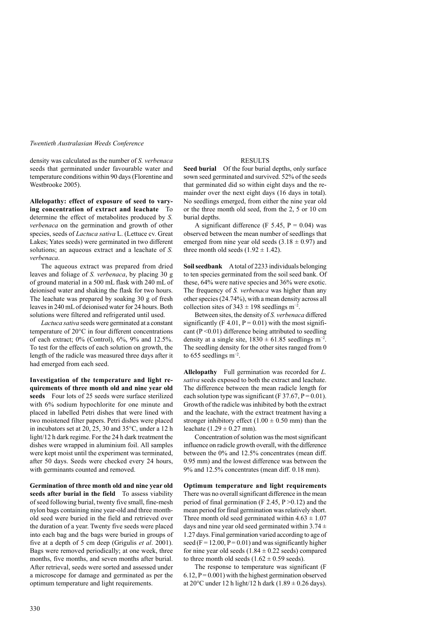density was calculated as the number of *S. verbenaca* seeds that germinated under favourable water and temperature conditions within 90 days (Florentine and Westbrooke 2005).

**Allelopathy: effect of exposure of seed to varying concentration of extract and leachate**  To determine the effect of metabolites produced by *S. verbenaca* on the germination and growth of other species, seeds of *Lactuca sativa* L. (Lettuce cv. Great Lakes; Yates seeds) were germinated in two different solutions; an aqueous extract and a leachate of *S. verbenaca*.

The aqueous extract was prepared from dried leaves and foliage of *S. verbenaca*, by placing 30 g of ground material in a 500 mL flask with 240 mL of deionised water and shaking the flask for two hours. The leachate was prepared by soaking 30 g of fresh leaves in 240 mL of deionised water for 24 hours. Both solutions were filtered and refrigerated until used.

*Lactuca sativa* seeds were germinated at a constant temperature of 20°C in four different concentrations of each extract; 0% (Control), 6%, 9% and 12.5%. To test for the effects of each solution on growth, the length of the radicle was measured three days after it had emerged from each seed.

**Investigation of the temperature and light requirements of three month old and nine year old seeds**  Four lots of 25 seeds were surface sterilized with 6% sodium hypochlorite for one minute and placed in labelled Petri dishes that were lined with two moistened filter papers. Petri dishes were placed in incubators set at 20, 25, 30 and 35°C, under a 12 h light/12 h dark regime. For the 24 h dark treatment the dishes were wrapped in aluminium foil. All samples were kept moist until the experiment was terminated, after 50 days. Seeds were checked every 24 hours, with germinants counted and removed.

**Germination of three month old and nine year old seeds after burial in the field**  To assess viability of seed following burial, twenty five small, fine-mesh nylon bags containing nine year-old and three monthold seed were buried in the field and retrieved over the duration of a year. Twenty five seeds were placed into each bag and the bags were buried in groups of five at a depth of 5 cm deep (Grigulis *et al*. 2001). Bags were removed periodically; at one week, three months, five months, and seven months after burial. After retrieval, seeds were sorted and assessed under a microscope for damage and germinated as per the optimum temperature and light requirements.

# RESULTS

**Seed burial**  Of the four burial depths, only surface sown seed germinated and survived. 52% of the seeds that germinated did so within eight days and the remainder over the next eight days (16 days in total). No seedlings emerged, from either the nine year old or the three month old seed, from the 2, 5 or 10 cm burial depths.

A significant difference (F 5.45,  $P = 0.04$ ) was observed between the mean number of seedlings that emerged from nine year old seeds  $(3.18 \pm 0.97)$  and three month old seeds  $(1.92 \pm 1.42)$ .

**Soil seedbank**  A total of 2233 individuals belonging to ten species germinated from the soil seed bank. Of these, 64% were native species and 36% were exotic. The frequency of *S. verbenaca* was higher than any other species (24.74%), with a mean density across all collection sites of  $343 \pm 198$  seedlings m<sup>-2</sup>.

Between sites, the density of *S. verbenaca* differed significantly (F 4.01,  $P = 0.01$ ) with the most significant ( $P \le 0.01$ ) difference being attributed to seedling density at a single site,  $1830 \pm 61.85$  seedlings m<sup>-2</sup>. The seedling density for the other sites ranged from 0 to 655 seedlings m−2 .

**Allelopathy**  Full germination was recorded for *L. sativa* seeds exposed to both the extract and leachate. The difference between the mean radicle length for each solution type was significant (F 37.67,  $P = 0.01$ ). Growth of the radicle was inhibited by both the extract and the leachate, with the extract treatment having a stronger inhibitory effect  $(1.00 \pm 0.50 \text{ mm})$  than the leachate  $(1.29 \pm 0.27 \text{ mm})$ .

Concentration of solution was the most significant influence on radicle growth overall, with the difference between the 0% and 12.5% concentrates (mean diff. 0.95 mm) and the lowest difference was between the 9% and 12.5% concentrates (mean diff. 0.18 mm).

**Optimum temperature and light requirements**  There was no overall significant difference in the mean period of final germination (F 2.45,  $P > 0.12$ ) and the mean period for final germination was relatively short. Three month old seed germinated within  $4.63 \pm 1.07$ days and nine year old seed germinated within  $3.74 \pm$ 1.27 days. Final germination varied according to age of seed ( $F = 12.00$ ,  $P = 0.01$ ) and was significantly higher for nine year old seeds  $(1.84 \pm 0.22$  seeds) compared to three month old seeds  $(1.62 \pm 0.59 \text{ seeds}).$ 

The response to temperature was significant (F  $6.12$ ,  $P = 0.001$ ) with the highest germination observed at  $20^{\circ}$ C under 12 h light/12 h dark (1.89  $\pm$  0.26 days).